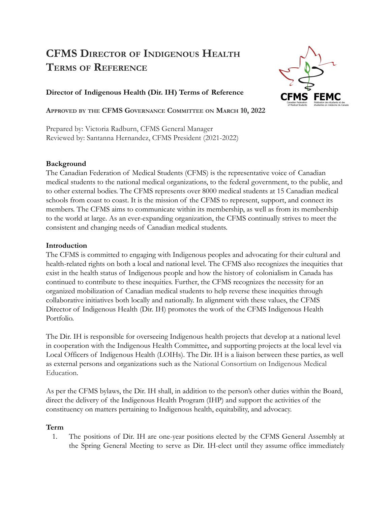# **CFMS DIRECTOR OF INDIGENOUS HEALTH TERMS OF REFERENCE**



# **Director of Indigenous Health (Dir. IH) Terms of Reference**

**APPROVED BY THE CFMS GOVERNANCE COMMITTEE ON MARCH 10, 2022**

Prepared by: Victoria Radburn, CFMS General Manager Reviewed by: Santanna Hernandez, CFMS President (2021-2022)

### **Background**

The Canadian Federation of Medical Students (CFMS) is the representative voice of Canadian medical students to the national medical organizations, to the federal government, to the public, and to other external bodies. The CFMS represents over 8000 medical students at 15 Canadian medical schools from coast to coast. It is the mission of the CFMS to represent, support, and connect its members. The CFMS aims to communicate within its membership, as well as from its membership to the world at large. As an ever-expanding organization, the CFMS continually strives to meet the consistent and changing needs of Canadian medical students.

### **Introduction**

The CFMS is committed to engaging with Indigenous peoples and advocating for their cultural and health-related rights on both a local and national level. The CFMS also recognizes the inequities that exist in the health status of Indigenous people and how the history of colonialism in Canada has continued to contribute to these inequities. Further, the CFMS recognizes the necessity for an organized mobilization of Canadian medical students to help reverse these inequities through collaborative initiatives both locally and nationally. In alignment with these values, the CFMS Director of Indigenous Health (Dir. IH) promotes the work of the CFMS Indigenous Health Portfolio.

The Dir. IH is responsible for overseeing Indigenous health projects that develop at a national level in cooperation with the Indigenous Health Committee, and supporting projects at the local level via Local Officers of Indigenous Health (LOIHs). The Dir. IH is a liaison between these parties, as well as external persons and organizations such as the National Consortium on Indigenous Medical Education.

As per the CFMS bylaws, the Dir. IH shall, in addition to the person's other duties within the Board, direct the delivery of the Indigenous Health Program (IHP) and support the activities of the constituency on matters pertaining to Indigenous health, equitability, and advocacy.

# **Term**

1. The positions of Dir. IH are one-year positions elected by the CFMS General Assembly at the Spring General Meeting to serve as Dir. IH-elect until they assume office immediately